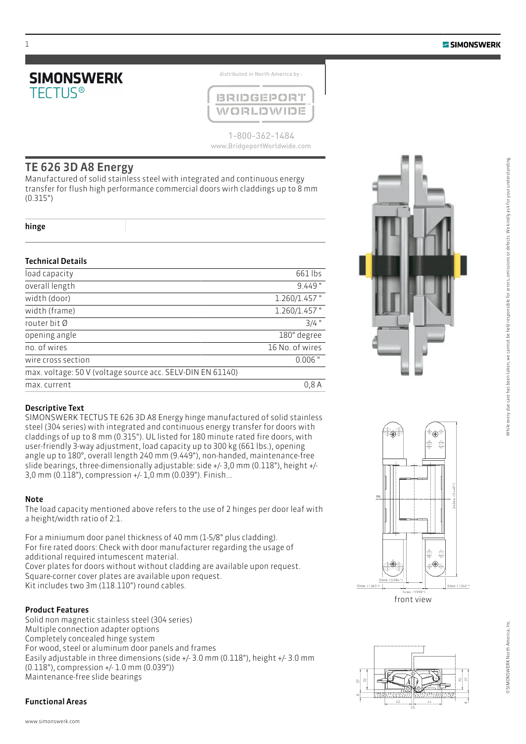

distributed in North America by :



1-800-362-1484 www.BridgeportWorldwide.com

### TE 626 3D A8 Energy

Manufactured of solid stainless steel with integrated and continuous energy transfer for flush high performance commercial doors wirh claddings up to 8 mm (0.315")

hinge

### Technical Details

| load capacity                                              | 661 lbs         |
|------------------------------------------------------------|-----------------|
| overall length                                             | $9.449$ "       |
| width (door)                                               | $1.260/1.457$ " |
| width (frame)                                              | $1.260/1.457$ " |
| router bit Ø                                               | $3/4$ "         |
| opening angle                                              | 180° degree     |
| no. of wires                                               | 16 No. of wires |
| wire cross section                                         | $0.006$ "       |
| max. voltage: 50 V (voltage source acc. SELV-DIN EN 61140) |                 |
| max. current                                               | 0.8A            |
|                                                            |                 |



### Descriptive Text

SIMONSWERK TECTUS TE 626 3D A8 Energy hinge manufactured of solid stainless steel (304 series) with integrated and continuous energy transfer for doors with claddings of up to 8 mm (0.315"). UL listed for 180 minute rated fire doors, with user-friendly 3-way adjustment, load capacity up to 300 kg (661 lbs.), opening angle up to 180°, overall length 240 mm (9.449"), non-handed, maintenance-free slide bearings, three-dimensionally adjustable: side +/- 3,0 mm (0.118"), height +/- 3,0 mm (0.118"), compression +/- 1,0 mm (0.039"). Finish...

#### Note

The load capacity mentioned above refers to the use of 2 hinges per door leaf with a height/width ratio of 2:1.

For a miniumum door panel thickness of 40 mm (1-5/8" plus cladding). For fire rated doors: Check with door manufacturer regarding the usage of additional required intumescent material. Cover plates for doors without without cladding are available upon request. Square-corner cover plates are available upon request. Kit includes two 3m (118.110") round cables.

### Product Features

Solid non magnetic stainless steel (304 series) Multiple connection adapter options Completely concealed hinge system For wood, steel or aluminum door panels and frames Easily adjustable in three dimensions (side +/- 3.0 mm (0.118"), height +/- 3.0 mm (0.118"), compression +/- 1.0 mm (0.039")) Maintenance-free slide bearings

### Functional Areas